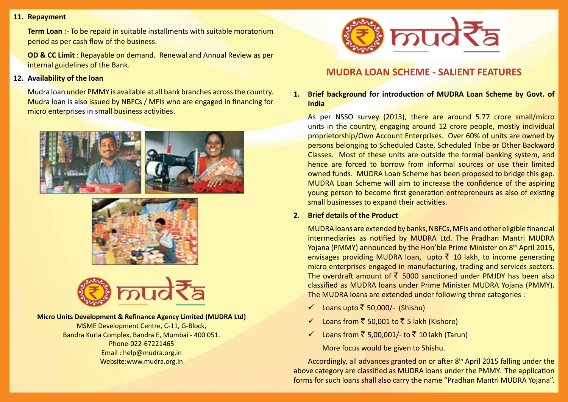#### **11. Repayment**

**Term Loan** :- To be repaid in suitable installments with suitable moratorium period as per cash flow of the business.

**OD & CC Limit** : Repayable on demand. Renewal and Annual Review as per internal guidelines of the Bank.

#### **12. Availability of the loan**

Mudra loan under PMMY is available at all bank branches across the country. Mudra loan is also issued by NBFCs / MFIs who are engaged in financing for micro enterprises in small business activities.







#### **Micro Units Development & Refinance Agency Limited (MUDRA Ltd)**

MSME Development Centre, C-11, G-Block, Bandra Kurla Complex, Bandra E, Mumbai - 400 051. Phone-022-67221465 Email : help@mudra.org.in Website:www.mudra.org.in



# **MUDRA LOAN SCHEME - SALIENT FEATURES**

**1. Brief background for introduction of MUDRA Loan Scheme by Govt. of India**

As per NSSO survey (2013), there are around 5.77 crore small/micro units in the country, engaging around 12 crore people, mostly individual proprietorship/Own Account Enterprises. Over 60% of units are owned by persons belonging to Scheduled Caste, Scheduled Tribe or Other Backward Classes. Most of these units are outside the formal banking system, and hence are forced to borrow from informal sources or use their limited owned funds. MUDRA Loan Scheme has been proposed to bridge this gap. MUDRA Loan Scheme will aim to increase the confidence of the aspiring young person to become first generation entrepreneurs as also of existing small businesses to expand their activities.

#### **2. Brief details of the Product**

MUDRA loans are extended by banks, NBFCs, MFIs and other eligible financial intermediaries as notified by MUDRA Ltd. The Pradhan Mantri MUDRA Yojana (PMMY) announced by the Hon'ble Prime Minister on 8<sup>th</sup> April 2015, envisages providing MUDRA loan, upto  $\bar{z}$  10 lakh, to income generating micro enterprises engaged in manufacturing, trading and services sectors. The overdraft amount of  $\bar{\xi}$  5000 sanctioned under PMJDY has been also classified as MUDRA loans under Prime Minister MUDRA Yojana (PMMY). The MUDRA loans are extended under following three categories :

- ← Loans upto  $\bar{z}$  50,000/- (Shishu)
- ◯ Loans from  $\bar{5}$  50,001 to  $\bar{5}$  5 lakh (Kishore)
- ◯ Loans from  $\bar{5}$  5,00,001/- to  $\bar{5}$  10 lakh (Tarun)

More focus would be given to Shishu.

Accordingly, all advances granted on or after 8th April 2015 falling under the above category are classified as MUDRA loans under the PMMY. The application forms for such loans shall also carry the name "Pradhan Mantri MUDRA Yojana".